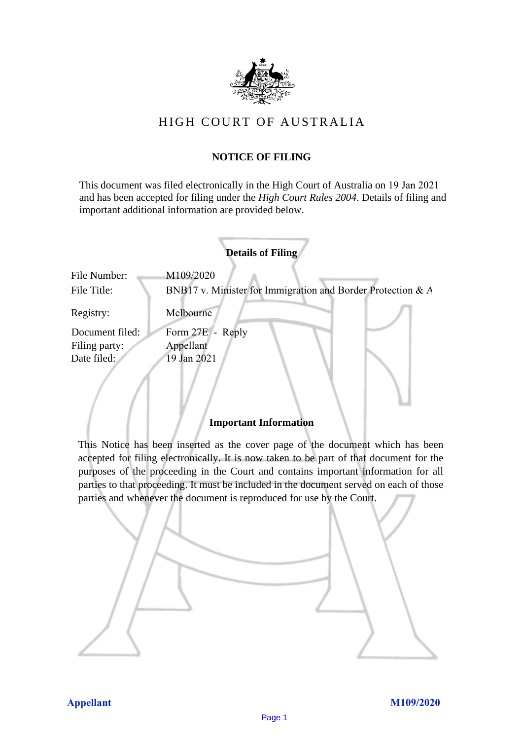

## HIGH COURT OF AU STRALIA HIGH COURT OF AUSTRALIA

## **NOTICE OF FILING** NOTICE OF FILING

This document was filed electronically in the High Court of Australia on 19 Jan 2021 This document was filed electronically in the High Court of Australia <sup>1</sup> and has been accepted for filing under the *High Court Rules 2004*. Details of filing and important additional information are provided below. important additional information are provided below.

| <b>Details of Filing</b>                        |                                                                          |
|-------------------------------------------------|--------------------------------------------------------------------------|
| File Number:<br>File Title:                     | M109/2020<br>BNB17 v. Minister for Immigration and Border Protection & A |
| Registry:                                       | Melbourne                                                                |
| Document filed:<br>Filing party:<br>Date filed: | Form 27E - Reply<br>Appellant<br>19 Jan 2021                             |
|                                                 | <b>Important Information</b>                                             |

This Notice has been inserted as the cover page of the document which has been accepted for filing electronically. It is now taken to be part of that document for the purposes of the proceeding in the Court and contains important information for all parties to that proceeding. It must be included in the document served on each of those parties and whenever the document is reproduced for use by the Court. parties and whenever the document is reproduced for use by the Court

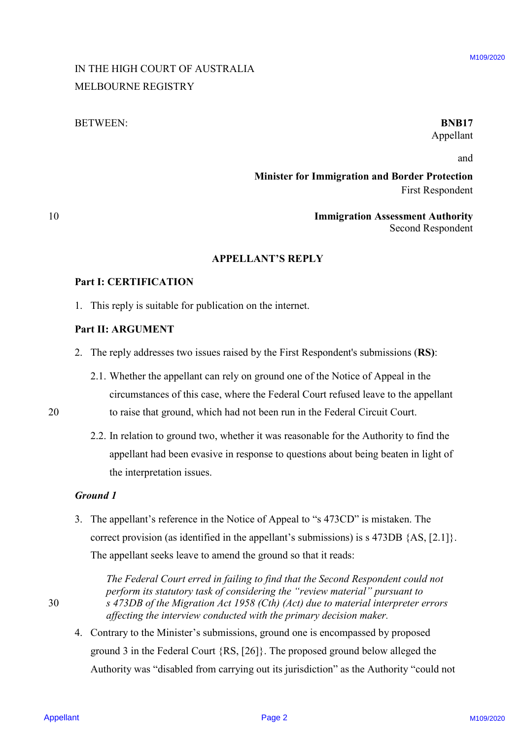## IN THE HIGH COURT OF AUSTRALIA IN THE HIGH COURT OF AUSTRALIA MELBOURNE REGISTRY MELBOURNE REGISTRY

#### BETWEEN: **BNB17** BETWEEN: BINB17

# Appellant Appellant

and and

**Minister for Immigration and Border Protection** Minister for Immigration and Border Protection First Respondent First Respondent

10 **Immigration Assessment Authority** Immigration Assessment Authority Second Respondent Second Respondent

#### **APPELLANT'S REPLY** APPELLANT'S REPLY

#### **Part I: CERTIFICATION** Part I: CERTIFICATION

1. This reply is suitable for publication on the internet. 1. This reply is suitable for publication on the internet.

## **Part II: ARGUMENT**  Part Il: ARGUMENT

- 2. The reply addresses two issues raised by the First Respondent's submissions (**RS)**: 2. The reply addresses two issues raised by the First Respondent's submissions (RS):
- 2.1. Whether the appellant can rely on ground one of the Notice of Appeal in the 2.1. Whether the appellant can rely on ground one of the Notice of Appeal in the circumstances of this case, where the Federal Court refused leave to the appellant circumstances of this case, where the Federal Court refused leave to the appellant 20 to raise that ground, which had not been run in the Federal Circuit Court. to raise that ground, which had not been run in the Federal Circuit Court.
- 20

10

2.2. In relation to ground two, whether it was reasonable for the Authority to find the 2.2. In relation to ground two, whether it was reasonable for the Authority to find the appellant had been evasive in response to questions about being beaten in light of appellant had been evasive in response to questions about being beaten in light of the interpretation issues. the interpretation issues.

#### *Ground 1* Ground I

3. The appellant's reference in the Notice of Appeal to "s 473CD" is mistaken. The 3. The appellant's reference in the Notice of Appeal to "'s 473CD" is mistaken. The correct provision (as identified in the appellant's submissions) is s 473DB {AS, [2.1]}. correct provision (as identified in the appellant's submissions) is <sup>s</sup> 473DB {AS, [2.1]}. The appellant seeks leave to amend the ground so that it reads: The appellant seeks leave to amend the ground so that it reads: IN THE HIGH COURT OF AUSTRALLA<br>
Minister for Immigration and Border Presence in<br>
Minister for Immigration and Border Presence in<br>
10<br>
Minister for Immigration and Border Presence Anthority<br>
The LE CRITTELANTS REPLY<br>
2. Th

30

The Federal Court erred in failing to find that the Second Respondent could not perform its statutory task of considering the "review material" pursuant to 30 *s 473DB of the Migration Act 1958 (Cth) (Act) due to material interpreter errors*  <sup>S</sup> 473DB ofthe Migration Act 1958 (Cth) (Act) due to material interpreter errors *affecting the interview conducted with the primary decision maker.* affecting the interview conducted with the primary decision maker.

4. Contrary to the Minister's submissions, ground one is encompassed by proposed Contrary to the Minister's submissions, ground one is encompassed by proposedground 3 in the Federal Court {RS, [26]}. The proposed ground below alleged the ground <sup>3</sup> in the Federal Court {RS, [26]}. The proposed ground below alleged the Authority was "disabled from carrying out its jurisdiction" as the Authority "could not Authority was "disabled from carrying out its jurisdiction" as the Authority "could not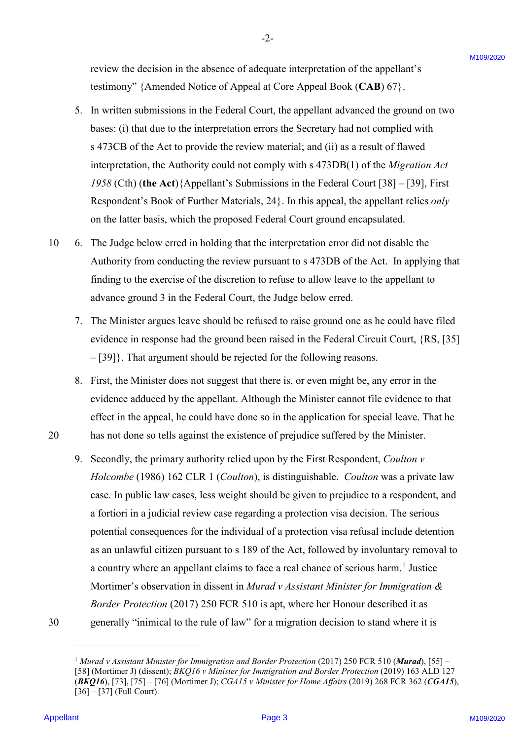review the decision in the absence of adequate interpretation of the appellant's review the decision in the absence of adequate interpretation of the appellant's testimony" {Amended Notice of Appeal at Core Appeal Book (**CAB**) 67}. testimony" {Amended Notice of Appeal at Core Appeal Book (CAB) 67}.

-2- -2-

- 5. In written submissions in the Federal Court, the appellant advanced the ground on two 5. In written submissions in the Federal Court, the appellant advanced the ground on two bases: (i) that due to the interpretation errors the Secretary had not complied with bases: (1) that due to the interpretation errors the Secretary had not complied with s 473CB of the Act to provide the review material; and (ii) as a result of flawed <sup>s</sup> 473CB of the Act to provide the review material; and (11) as <sup>a</sup> result of flawed interpretation, the Authority could not comply with s 473DB(1) of the *Migration Act*  interpretation, the Authority could not comply with <sup>s</sup> 473DB(1) of the Migration Act *1958* (Cth) (**the Act**){Appellant's Submissions in the Federal Court [38] – [39], First 1958 (Cth) (the Act){Appellant's Submissions in the Federal Court [38] — [39], First Respondent's Book of Further Materials, 24}. In this appeal, the appellant relies *only*  Respondent's Book of Further Materials, 24}. In this appeal, the appellant relies only on the latter basis, which the proposed Federal Court ground encapsulated. on the latter basis, which the proposed Federal Court ground encapsulated.
- 10 6. The Judge below erred in holding that the interpretation error did not disable the 10 6. The Judge below erred in holding that the interpretation error did not disable the Authority from conducting the review pursuant to s 473DB of the Act. In applying that Authority from conducting the review pursuant to <sup>s</sup> 473DB of the Act. In applying that finding to the exercise of the discretion to refuse to allow leave to the appellant to finding to the exercise of the discretion to refuse to allow leave to the appellant to advance ground 3 in the Federal Court, the Judge below erred. advance ground <sup>3</sup> in the Federal Court, the Judge below erred.
	- 7. The Minister argues leave should be refused to raise ground one as he could have filed 7. The Minister argues leave should be refused to raise ground one as he could have filed evidence in response had the ground been raised in the Federal Circuit Court, {RS, [35] evidence in response had the ground been raised in the Federal Circuit Court, {RS, [35] – [39]}. That argument should be rejected for the following reasons. — [39]}. That argument should be rejected for the following reasons.
- 8. First, the Minister does not suggest that there is, or even might be, any error in the 8. First, the Minister does not suggest that there is, or even might be, any error in the evidence adduced by the appellant. Although the Minister cannot file evidence to that evidence adduced by the appellant. Although the Minister cannot file evidence to that effect in the appeal, he could have done so in the application for special leave. That he effect in the appeal, he could have done so in the application for special leave. That he 20 has not done so tells against the existence of prejudice suffered by the Minister. 20 has not done so tells against the existence of prejudice suffered by the Minister.
- 9. Secondly, the primary authority relied upon by the First Respondent, *Coulton v Holcombe* (1986) 162 CLR 1 (*Coulton*), is distinguishable. *Coulton* was a private law Holcombe (1986) 162 CLR <sup>1</sup> (Coulton), is distinguishable. Coulton was a private law case. In public law cases, less weight should be given to prejudice to a respondent, and case. In public law cases, less weight should be given to prejudice to a respondent, and a fortiori in a judicial review case regarding a protection visa decision. The serious a fortiori in ajudicial review case regarding a protection visa decision. The serious potential consequences for the individual of a protection visa refusal include detention potential consequences for the individual of <sup>a</sup> protection visa refusal include detention as an unlawful citizen pursuant to s 189 of the Act, followed by involuntary removal to as an unlawful citizen pursuant to <sup>s</sup> 189 of the Act, followed by involuntary removal to a country where an appellant claims to face a real chance of serious harm. <sup>1</sup> Justice a country where an appellant claims to face a real chance of serious harm.! Justice Mortimer's observation in dissent in *Murad v Assistant Minister for Immigration &*  Mortimer's observation in dissent in Murad v Assistant Ministerfor Immigration & *Border Protection* (2017) 250 FCR 510 is apt, where her Honour described it as Border Protection (2017) 250 FCR 510 is apt, where her Honour described it as 30 generally "inimical to the rule of law" for a migration decision to stand where it is 30 generally "inimical to the rule of law" for a migration decision to stand where it is review the decision in the absence of adequate interpretries of the appellant's<br>
Leadingth V-formalist Works of Appellant Core, by the state of the Core of the Core of the Core of the Core of<br>
Leadington in the state of t

<u>.</u>

<sup>&</sup>lt;sup>1</sup> Murad v Assistant Minister for Immigration and Border Protection (2017) 250 FCR 510 (Murad), [55] – [58] (Mortimer J) (dissent); *BKQ16 v Minister for Immigration and Border Protection* (2019) 163 ALD 127  $(RKQ16)$ , [73], [75] – [76] (Mortimer J); CGA15 v Minister for Home Affairs (2019) 268 FCR 362 (CGA15), [36] – [37] (Full Court). [36] — [37] (Full Court).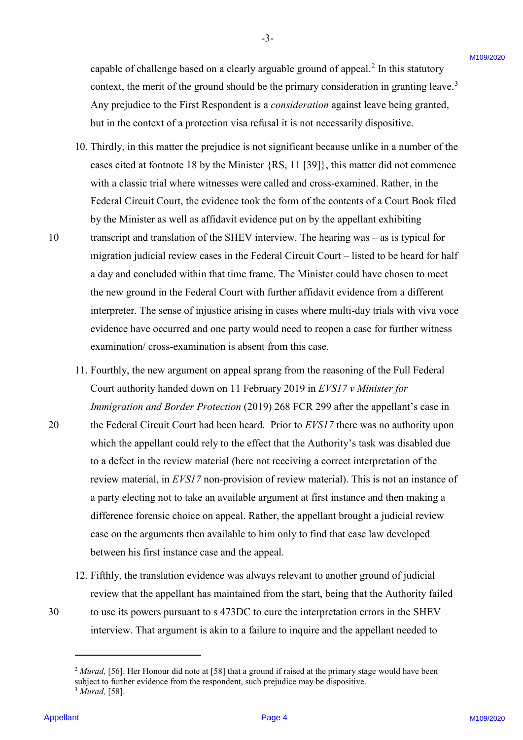capable of challenge based on a clearly arguable ground of appeal.<sup>2</sup> In this statutory context, the merit of the ground should be the primary consideration in granting leave.<sup>3</sup> Any prejudice to the First Respondent is a *consideration* against leave being granted, Any prejudice to the First Respondent is a consideration against leave being granted, but in the context of a protection visa refusal it is not necessarily dispositive. but in the context of <sup>a</sup> protection visa refusal it is not necessarily dispositive.

-3- -3-

- 10. Thirdly, in this matter the prejudice is not significant because unlike in a number of the 10. Thirdly, in this matter the prejudice is not significant because unlike in <sup>a</sup> number of the cases cited at footnote 18 by the Minister {RS, 11 [39]}, this matter did not commence cases cited at footnote <sup>18</sup> by the Minister {RS, <sup>11</sup> [39], this matter did not commence with a classic trial where witnesses were called and cross-examined. Rather, in the with a classic trial where witnesses were called and cross-examined. Rather, in the Federal Circuit Court, the evidence took the form of the contents of a Court Book filed Federal Circuit Court, the evidence took the form of the contents of a Court Book filed by the Minister as well as affidavit evidence put on by the appellant exhibiting by the Minister as well as affidavit evidence put on by the appellant exhibiting 10 transcript and translation of the SHEV interview. The hearing was – as is typical for 10 transcript and translation of the SHEV interview. The hearing was — as is typical for migration judicial review cases in the Federal Circuit Court – listed to be heard for half migration judicial review cases in the Federal Circuit Court —listed to be heard for half a day and concluded within that time frame. The Minister could have chosen to meet a day and concluded within that time frame. The Minister could have chosen to meet the new ground in the Federal Court with further affidavit evidence from a different the new ground in the Federal Court with further affidavit evidence from a different interpreter. The sense of injustice arising in cases where multi-day trials with viva voce interpreter. The sense of injustice arising in cases where multi-day trials with viva voce evidence have occurred and one party would need to reopen a case for further witness evidence have occurred and one party would need to reopen a case for further witness examination/ cross-examination is absent from this case. examination/ cross-examination is absent from this case. equotie of challenge based on a clearly arguable ground of appeal.<sup>2</sup> In this statucey<br>
contact, the mean-of of the ground should be the primary connection in grating (search)<br>
Any prejudice to the First Respondent is a c
- 11. Fourthly, the new argument on appeal sprang from the reasoning of the Full Federal 11. Fourthly, the new argument on appeal sprang from the reasoning of the Full Federal Court authority handed down on 11 February 2019 in *EVS17 v Minister for*  Court authority handed down on <sup>11</sup> February 2019 in EVS17 v Minister for *Immigration and Border Protection* (2019) 268 FCR 299 after the appellant's case in Immigration and Border Protection (2019) 268 FCR 299 after the appellant's case in 20 the Federal Circuit Court had been heard. Prior to *EVS17* there was no authority upon 20 the Federal Circuit Court had been heard. Prior to EVS/7 there was no authority upon which the appellant could rely to the effect that the Authority's task was disabled due<br>to a defect in the review material (here not receiving a correct interpretation of the to a defect in the review material (here not receiving a correct interpretation of the review material, in *EVS17* non-provision of review material). This is not an instance of a party electing not to take an available argument at first instance and then making a a party electing not to take an available argument at first instance and then making <sup>a</sup> difference forensic choice on appeal. Rather, the appellant brought a judicial review difference forensic choice on appeal. Rather, the appellant brought <sup>a</sup> judicial review case on the arguments then available to him only to find that case law developed between his first instance case and the appeal. between his first instance case and the appeal.
	- 12. Fifthly, the translation evidence was always relevant to another ground of judicial 12. Fifthly, the translation evidence was always relevant to another ground of judicial review that the appellant has maintained from the start, being that the Authority failed

30 to use its powers pursuant to s 473DC to cure the interpretation errors in the SHEV

interview. That argument is akin to a failure to inquire and the appellant needed to -

<sup>&</sup>lt;sup>2</sup> Murad, [56]. Her Honour did note at [58] that a ground if raised at the primary stage would have been subject to further evidence from the respondent, such prejudice may be dispositive. <sup>3</sup> *Murad,* [58]. 3Murad, [58].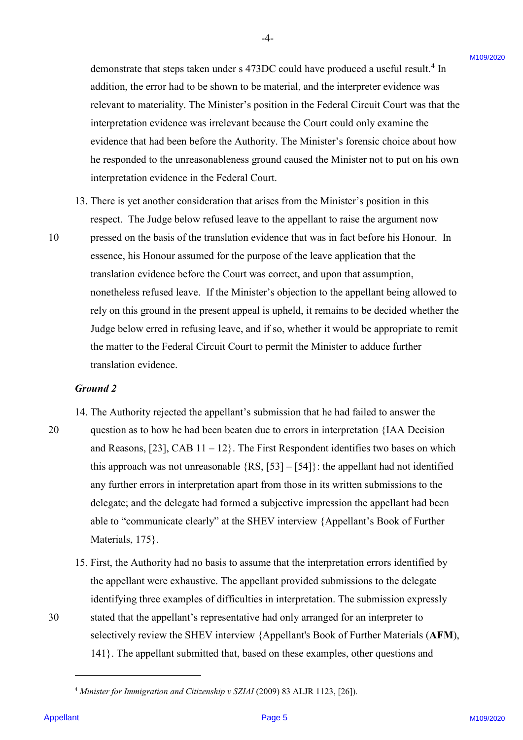demonstrate that steps taken under s 473DC could have produced a useful result. <sup>4</sup> In demonstrate that steps taken under <sup>s</sup> 473DC could have produced <sup>a</sup> useful result.\* In addition, the error had to be shown to be material, and the interpreter evidence was addition, the error had to be shown to be material, and the interpreter evidence was relevant to materiality. The Minister's position in the Federal Circuit Court was that the relevant to materiality. The Minister's position in the Federal Circuit Court was that the interpretation evidence was irrelevant because the Court could only examine the interpretation evidence was irrelevant because the Court could only examine the evidence that had been before the Authority. The Minister's forensic choice about how evidence that had been before the Authority. The Minister's forensic choice about how he responded to the unreasonableness ground caused the Minister not to put on his own he responded to the unreasonableness ground caused the Minister not to put on his own interpretation evidence in the Federal Court. interpretation evidence in the Federal Court.

- 13. There is yet another consideration that arises from the Minister's position in this 13. There is yet another consideration that arises from the Minister's position in this respect. The Judge below refused leave to the appellant to raise the argument now respect. The Judge below refused leave to the appellant to raise the argument now
- 10 pressed on the basis of the translation evidence that was in fact before his Honour. In <sup>10</sup> pressed on the basis of the translation evidence that was in fact before his Honour. In essence, his Honour assumed for the purpose of the leave application that the essence, his Honour assumed for the purpose of the leave application that the translation evidence before the Court was correct, and upon that assumption, translation evidence before the Court was correct, and upon that assumption, nonetheless refused leave. If the Minister's objection to the appellant being allowed to nonetheless refused leave. If the Minister's objection to the appellant being allowed to rely on this ground in the present appeal is upheld, it remains to be decided whether the Judge below erred in refusing leave, and if so, whether it would be appropriate to remit Judge below erred in refusing leave, and if so, whether it would be appropriate to remit the matter to the Federal Circuit Court to permit the Minister to adduce further the matter to the Federal Circuit Court to permit the Minister to adduce further translation evidence. translation evidence. demonstrate that steps taken under a 473DC could have produced a useful result of a<br>addision, the current half the base with be makerial, and the interprets voltence with<br>method in the control of the stress of the matchin

#### *Ground 2*  Ground 2

14. The Authority rejected the appellant's submission that he had failed to answer the 14. The Authority rejected the appellant's submission that he had failed to answer the

- 20 question as to how he had been beaten due to errors in interpretation {IAA Decision 20 question as to how he had been beaten due to errors in interpretation {IAA Decision and Reasons,  $[23]$ , CAB  $11-12$ . The First Respondent identifies two bases on which this approach was not unreasonable  $\{RS, [53] - [54]\}$ : the appellant had not identified any further errors in interpretation apart from those in its written submissions to the any further errors in interpretation apart from those in its written submissions to the delegate; and the delegate had formed a subjective impression the appellant had been delegate; and the delegate had formed <sup>a</sup> subjective impression the appellant had been able to "communicate clearly" at the SHEV interview {Appellant's Book of Further able to "communicate clearly" at the SHEV interview {Appellant's Book of Further Materials, 175}. Materials, 175}.
- 15. First, the Authority had no basis to assume that the interpretation errors identified by 15. First, the Authority had no basis to assume that the interpretation errors identified by the appellant were exhaustive. The appellant provided submissions to the delegate the appellant were exhaustive. The appellant provided submissions to the delegate identifying three examples of difficulties in interpretation. The submission expressly identifying three examples of difficulties in interpretation. The submission expressly 30 stated that the appellant's representative had only arranged for an interpreter to 30 stated that the appellant's representative had only arranged for an interpreter to selectively review the SHEV interview {Appellant's Book of Further Materials (**AFM**), selectively review the SHEV interview {Appellant's Book of Further Materials (AFM), 141}. The appellant submitted that, based on these examples, other questions and 141}. The appellant submitted that, based on these examples, other questions and

-

<sup>&</sup>lt;sup>4</sup> Minister for Immigration and Citizenship v SZIAI (2009) 83 ALJR 1123, [26]).